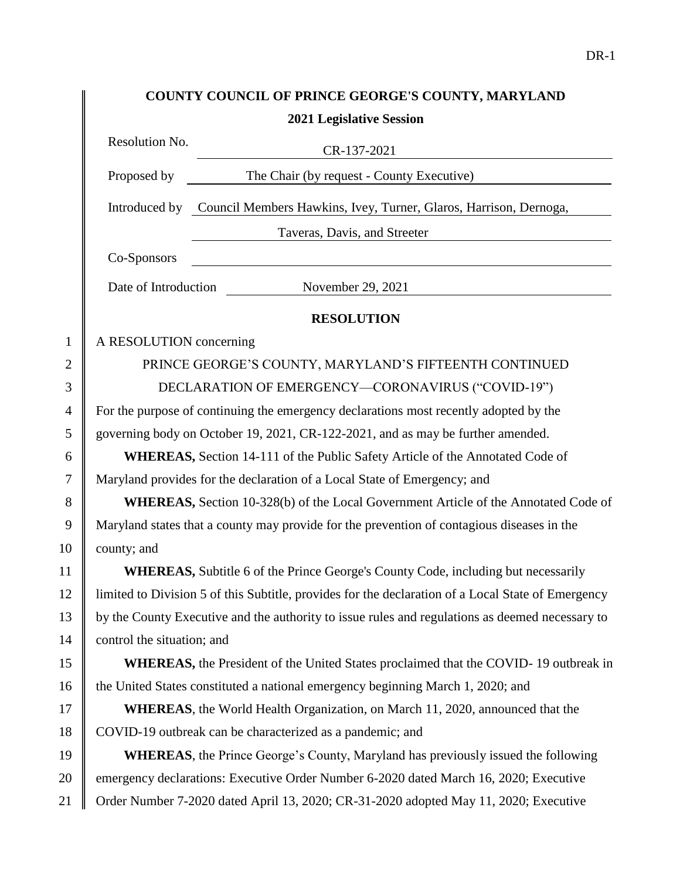|                | COUNTY COUNCIL OF PRINCE GEORGE'S COUNTY, MARYLAND                                                 |
|----------------|----------------------------------------------------------------------------------------------------|
|                | <b>2021 Legislative Session</b>                                                                    |
|                | Resolution No.<br>CR-137-2021                                                                      |
|                | Proposed by<br>The Chair (by request - County Executive)                                           |
|                | Introduced by Council Members Hawkins, Ivey, Turner, Glaros, Harrison, Dernoga,                    |
|                | Taveras, Davis, and Streeter                                                                       |
|                | Co-Sponsors                                                                                        |
|                | Date of Introduction<br>November 29, 2021                                                          |
|                | <b>RESOLUTION</b>                                                                                  |
| $\mathbf{1}$   | A RESOLUTION concerning                                                                            |
| $\overline{2}$ | PRINCE GEORGE'S COUNTY, MARYLAND'S FIFTEENTH CONTINUED                                             |
| 3              | DECLARATION OF EMERGENCY-CORONAVIRUS ("COVID-19")                                                  |
| $\overline{4}$ | For the purpose of continuing the emergency declarations most recently adopted by the              |
| 5              | governing body on October 19, 2021, CR-122-2021, and as may be further amended.                    |
| 6              | <b>WHEREAS, Section 14-111 of the Public Safety Article of the Annotated Code of</b>               |
| 7              | Maryland provides for the declaration of a Local State of Emergency; and                           |
| 8              | WHEREAS, Section 10-328(b) of the Local Government Article of the Annotated Code of                |
| 9              | Maryland states that a county may provide for the prevention of contagious diseases in the         |
| 10             | county; and                                                                                        |
| 11             | <b>WHEREAS, Subtitle 6 of the Prince George's County Code, including but necessarily</b>           |
| 12             | limited to Division 5 of this Subtitle, provides for the declaration of a Local State of Emergency |
| 13             | by the County Executive and the authority to issue rules and regulations as deemed necessary to    |
| 14             | control the situation; and                                                                         |
| 15             | <b>WHEREAS</b> , the President of the United States proclaimed that the COVID-19 outbreak in       |
| 16             | the United States constituted a national emergency beginning March 1, 2020; and                    |
| 17             | <b>WHEREAS</b> , the World Health Organization, on March 11, 2020, announced that the              |
| 18             | COVID-19 outbreak can be characterized as a pandemic; and                                          |
| 19             | <b>WHEREAS</b> , the Prince George's County, Maryland has previously issued the following          |
| 20             | emergency declarations: Executive Order Number 6-2020 dated March 16, 2020; Executive              |
| 21             | Order Number 7-2020 dated April 13, 2020; CR-31-2020 adopted May 11, 2020; Executive               |

DR-1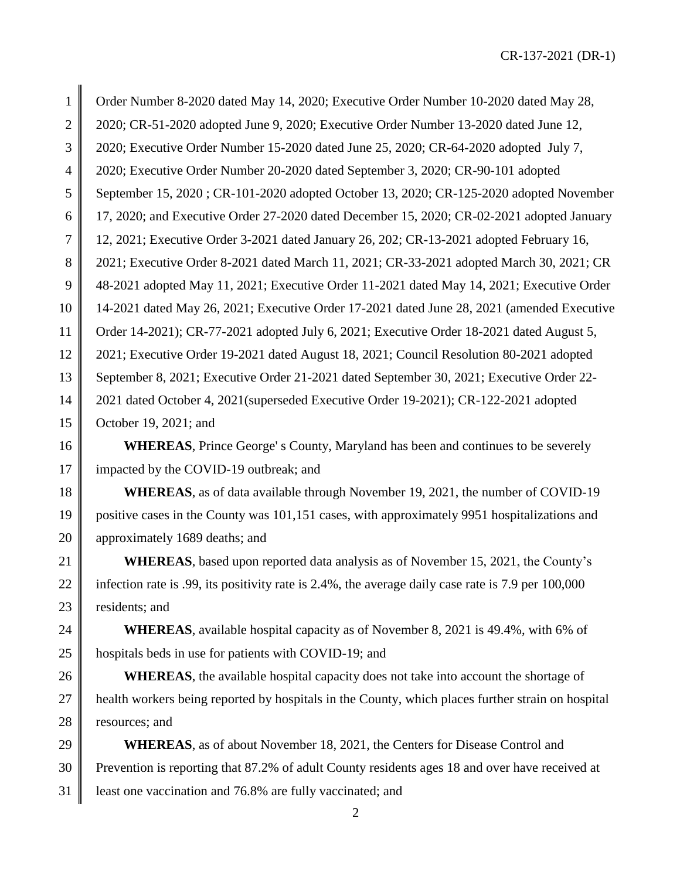CR-137-2021 (DR-1)

 Order Number 8-2020 dated May 14, 2020; Executive Order Number 10-2020 dated May 28, 2 2020; CR-51-2020 adopted June 9, 2020; Executive Order Number 13-2020 dated June 12, 2020; Executive Order Number 15-2020 dated June 25, 2020; CR-64-2020 adopted July 7, 2020; Executive Order Number 20-2020 dated September 3, 2020; CR-90-101 adopted 5 September 15, 2020 ; CR-101-2020 adopted October 13, 2020; CR-125-2020 adopted November 17, 2020; and Executive Order 27-2020 dated December 15, 2020; CR-02-2021 adopted January 12, 2021; Executive Order 3-2021 dated January 26, 202; CR-13-2021 adopted February 16, 8 2021; Executive Order 8-2021 dated March 11, 2021; CR-33-2021 adopted March 30, 2021; CR 48-2021 adopted May 11, 2021; Executive Order 11-2021 dated May 14, 2021; Executive Order 14-2021 dated May 26, 2021; Executive Order 17-2021 dated June 28, 2021 (amended Executive Order 14-2021); CR-77-2021 adopted July 6, 2021; Executive Order 18-2021 dated August 5, 2021; Executive Order 19-2021 dated August 18, 2021; Council Resolution 80-2021 adopted 13 September 8, 2021; Executive Order 21-2021 dated September 30, 2021; Executive Order 22- 2021 dated October 4, 2021(superseded Executive Order 19-2021); CR-122-2021 adopted **October 19, 2021**; and **WHEREAS**, Prince George's County, Maryland has been and continues to be severely 17 | impacted by the COVID-19 outbreak; and **WHEREAS**, as of data available through November 19, 2021, the number of COVID-19 positive cases in the County was 101,151 cases, with approximately 9951 hospitalizations and **approximately 1689 deaths; and WHEREAS**, based upon reported data analysis as of November 15, 2021, the County's 22 infection rate is .99, its positivity rate is 2.4%, the average daily case rate is 7.9 per 100,000 | residents; and **WHEREAS**, available hospital capacity as of November 8, 2021 is 49.4%, with 6% of  $\parallel$  hospitals beds in use for patients with COVID-19; and **WHEREAS**, the available hospital capacity does not take into account the shortage of

27 | health workers being reported by hospitals in the County, which places further strain on hospital 28 cess resources; and

**WHEREAS**, as of about November 18, 2021, the Centers for Disease Control and 30 Prevention is reporting that 87.2% of adult County residents ages 18 and over have received at 31 | least one vaccination and 76.8% are fully vaccinated; and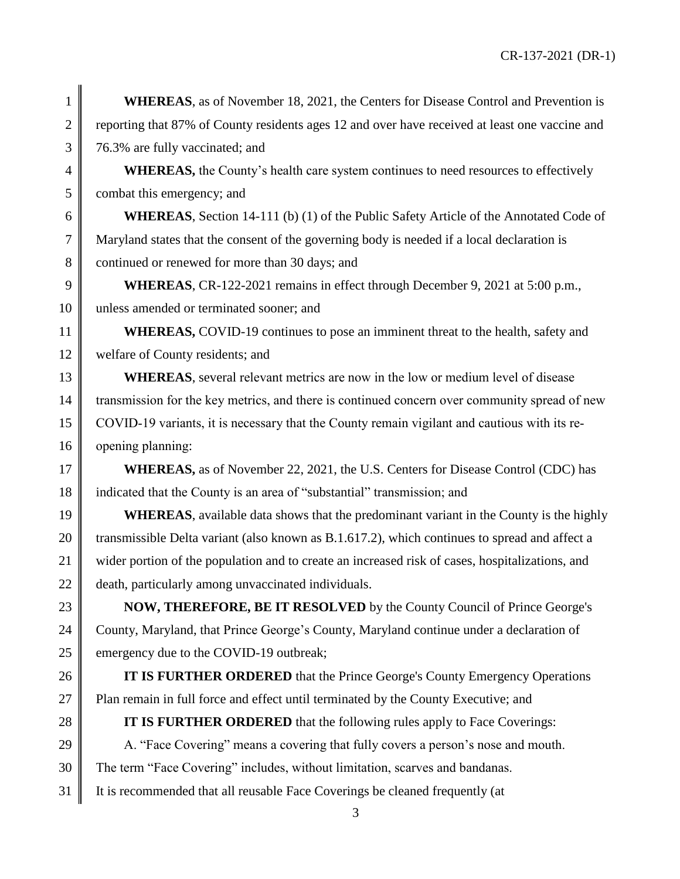**1 WHEREAS**, as of November 18, 2021, the Centers for Disease Control and Prevention is 2 reporting that 87% of County residents ages 12 and over have received at least one vaccine and 3 76.3% are fully vaccinated; and

4 **WHEREAS,** the County's health care system continues to need resources to effectively 5 combat this emergency; and

6 **WHEREAS**, Section 14-111 (b) (1) of the Public Safety Article of the Annotated Code of 7 Maryland states that the consent of the governing body is needed if a local declaration is 8 continued or renewed for more than 30 days; and

9 **WHEREAS**, CR-122-2021 remains in effect through December 9, 2021 at 5:00 p.m., 10 U unless amended or terminated sooner; and

11 **WHEREAS, COVID-19** continues to pose an imminent threat to the health, safety and 12 welfare of County residents; and

13 **WHEREAS**, several relevant metrics are now in the low or medium level of disease 14 transmission for the key metrics, and there is continued concern over community spread of new 15 COVID-19 variants, it is necessary that the County remain vigilant and cautious with its re-16 | opening planning:

17 **WHEREAS,** as of November 22, 2021, the U.S. Centers for Disease Control (CDC) has 18 indicated that the County is an area of "substantial" transmission; and

19 **WHEREAS**, available data shows that the predominant variant in the County is the highly 20 transmissible Delta variant (also known as B.1.617.2), which continues to spread and affect a 21 wider portion of the population and to create an increased risk of cases, hospitalizations, and 22  $\parallel$  death, particularly among unvaccinated individuals.

23 **NOW, THEREFORE, BE IT RESOLVED** by the County Council of Prince George's 24 County, Maryland, that Prince George's County, Maryland continue under a declaration of 25 emergency due to the COVID-19 outbreak;

26 **IT IS FURTHER ORDERED** that the Prince George's County Emergency Operations 27 **Plan remain in full force and effect until terminated by the County Executive; and** 

28 **IT IS FURTHER ORDERED** that the following rules apply to Face Coverings:

29  $\parallel$  A. "Face Covering" means a covering that fully covers a person's nose and mouth. 30 The term "Face Covering" includes, without limitation, scarves and bandanas. 31 It is recommended that all reusable Face Coverings be cleaned frequently (at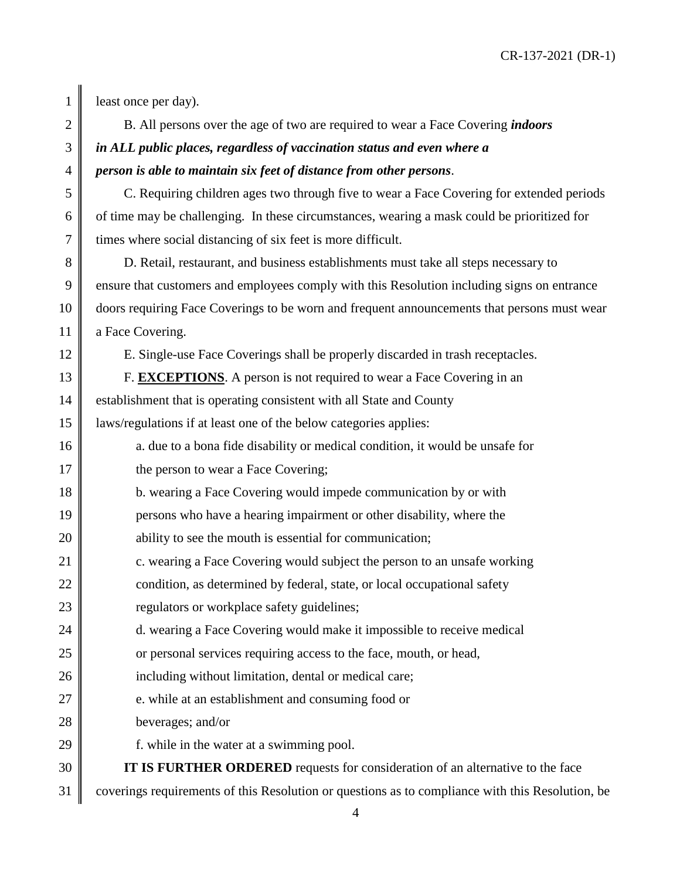11 **a** Face Covering.

1 east once per day).

2 B. All persons over the age of two are required to wear a Face Covering *indoors*

## 3 *in ALL public places, regardless of vaccination status and even where a*  4 *person is able to maintain six feet of distance from other persons*.

5 C. Requiring children ages two through five to wear a Face Covering for extended periods 6  $\parallel$  of time may be challenging. In these circumstances, wearing a mask could be prioritized for  $7 \parallel$  times where social distancing of six feet is more difficult.

8 D. Retail, restaurant, and business establishments must take all steps necessary to 9 ensure that customers and employees comply with this Resolution including signs on entrance 10 doors requiring Face Coverings to be worn and frequent announcements that persons must wear

12 E. Single-use Face Coverings shall be properly discarded in trash receptacles.

13 **F. EXCEPTIONS**. A person is not required to wear a Face Covering in an 14 establishment that is operating consistent with all State and County 15 laws/regulations if at least one of the below categories applies:

- 16 a. due to a bona fide disability or medical condition, it would be unsafe for 17 the person to wear a Face Covering; 18 **b.** wearing a Face Covering would impede communication by or with 19 persons who have a hearing impairment or other disability, where the 20 **ability to see the mouth is essential for communication;** 21 **c.** wearing a Face Covering would subject the person to an unsafe working 22 **condition**, as determined by federal, state, or local occupational safety 23 **P** regulators or workplace safety guidelines; 24 d. wearing a Face Covering would make it impossible to receive medical 25 or personal services requiring access to the face, mouth, or head,
- 26 || including without limitation, dental or medical care;
- $27 \parallel$  e. while at an establishment and consuming food or
- 28 beverages; and/or
- 29  $\parallel$  f. while in the water at a swimming pool.

30 **IT IS FURTHER ORDERED** requests for consideration of an alternative to the face 31 coverings requirements of this Resolution or questions as to compliance with this Resolution, be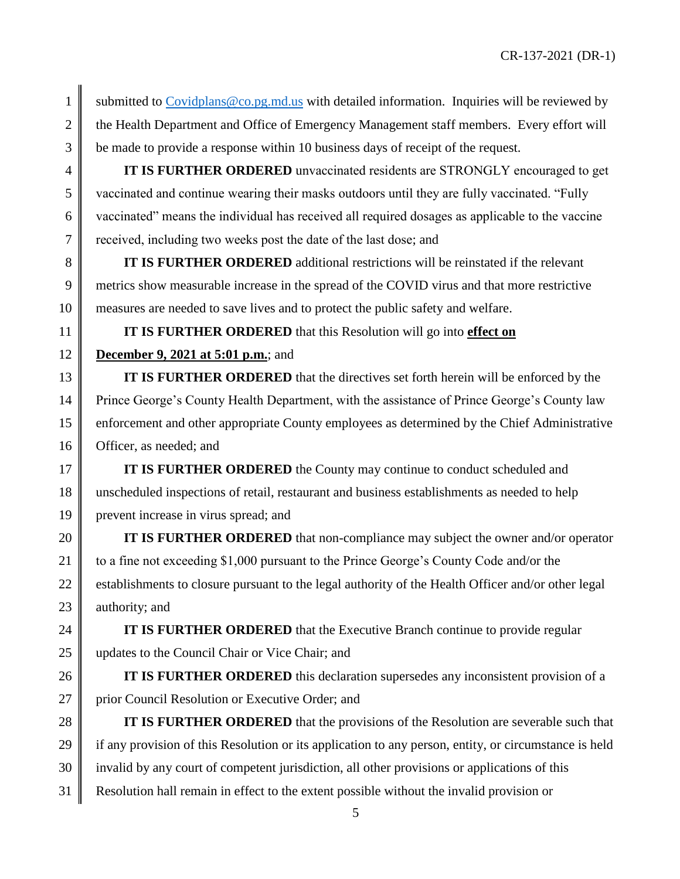1 Submitted to Covidplans  $@co.pg.md.us$  with detailed information. Inquiries will be reviewed by 2 the Health Department and Office of Emergency Management staff members. Every effort will 3 be made to provide a response within 10 business days of receipt of the request.

 **IT IS FURTHER ORDERED** unvaccinated residents are STRONGLY encouraged to get vaccinated and continue wearing their masks outdoors until they are fully vaccinated. "Fully vaccinated" means the individual has received all required dosages as applicable to the vaccine 7 ceeived, including two weeks post the date of the last dose; and

8 **IT IS FURTHER ORDERED** additional restrictions will be reinstated if the relevant 9 metrics show measurable increase in the spread of the COVID virus and that more restrictive 10 measures are needed to save lives and to protect the public safety and welfare.

11 **IT IS FURTHER ORDERED** that this Resolution will go into **effect on** 

## 12 **December 9, 2021 at 5:01 p.m.**; and

**IT IS FURTHER ORDERED** that the directives set forth herein will be enforced by the 14 Prince George's County Health Department, with the assistance of Prince George's County law 15 enforcement and other appropriate County employees as determined by the Chief Administrative 16 **Officer**, as needed; and

17 **IT IS FURTHER ORDERED** the County may continue to conduct scheduled and 18 unscheduled inspections of retail, restaurant and business establishments as needed to help 19 prevent increase in virus spread; and

 **IT IS FURTHER ORDERED** that non-compliance may subject the owner and/or operator  $\parallel$  to a fine not exceeding \$1,000 pursuant to the Prince George's County Code and/or the 22 | establishments to closure pursuant to the legal authority of the Health Officer and/or other legal  $\parallel$  authority; and

24 **IT IS FURTHER ORDERED** that the Executive Branch continue to provide regular 25 Updates to the Council Chair or Vice Chair; and

26 **IT IS FURTHER ORDERED** this declaration supersedes any inconsistent provision of a 27 | prior Council Resolution or Executive Order; and

28 **IT IS FURTHER ORDERED** that the provisions of the Resolution are severable such that 29 if any provision of this Resolution or its application to any person, entity, or circumstance is held  $30 \parallel$  invalid by any court of competent jurisdiction, all other provisions or applications of this 31 Resolution hall remain in effect to the extent possible without the invalid provision or